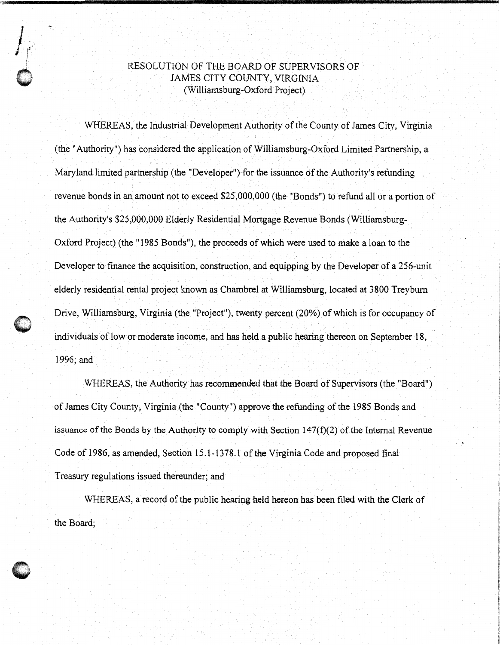## RESOLUTION OF THE BOARD OF SUPERVISORS OF JAMES CITY COUNTY, VIRGINIA (Williamsburg-Oxford Project)

 $\int_{\mathbb{T}^2}$ 

!

 $\mathcal{I}$  , the state of the state of the state of the state of the state of the state of the state of the state of the state of the state of the state of the state of the state of the state of the state of the state of th

WHEREAS, the Industrial Development Authority of the County of James City, Virginia (the "Authority") has considered the application of Williamsburg-Oxford Limited Partnership, a Maryland limited partnership (the "Developer") for the issuance of the Authority's refunding revenue bonds in an amount not to exceed \$25,000,000 (the "Bonds") to refund all or a portion of the Authority's \$25,000,000 Elderly Residential Mortgage Revenue Bonds (Williamsburg-Oxford Project) (the "1985 Bonds"), the proceeds of which were used to make a loan to the Developer to finance the acquisition, construction, and equipping by the Developer of a 256-unit elderly residential rental project known as Chambrel at Williamsburg, located at 3800 Treyburn Drive, Williamsburg, Virginia (the "Project"), twenty percent (20%) of which is for occupancy of individuals of low or moderate income, and has held a public hearing thereon on September 18, 1996; and

WHEREAS, the Authority has recommended that the Board of Supervisors (the "Board") of James City County, Virginia (the "County") approve the refunding of the 1985 Bonds and issuance of the Bonds by the Authority to comply with Section  $147(f)(2)$  of the Internal Revenue Code of 1986, as amended, Section 15.1-1378.1 of the Virginia Code and proposed final Treasury regulations issued thereunder; and

WHEREAS, a record of the public hearing held hereon has been filed with the Clerk of the Board;